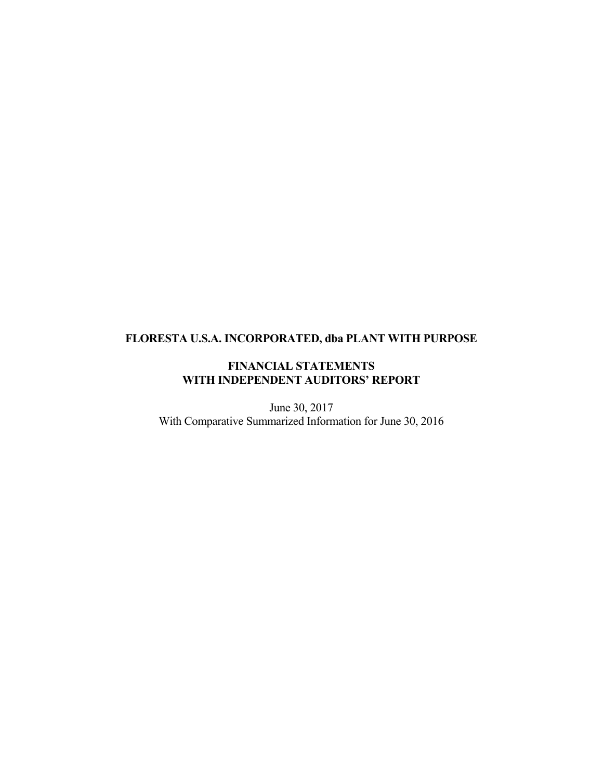# **FLORESTA U.S.A. INCORPORATED, dba PLANT WITH PURPOSE**

## **FINANCIAL STATEMENTS WITH INDEPENDENT AUDITORS' REPORT**

June 30, 2017 With Comparative Summarized Information for June 30, 2016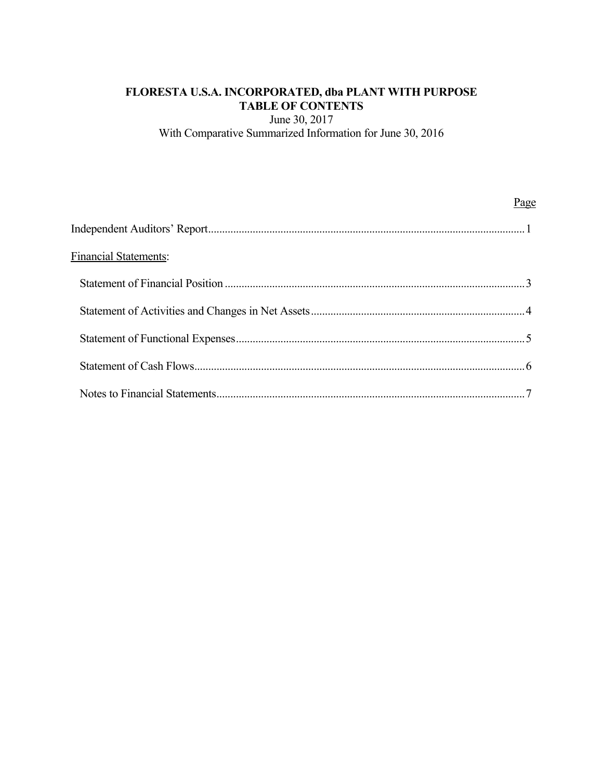## **FLORESTA U.S.A. INCORPORATED, dba PLANT WITH PURPOSE TABLE OF CONTENTS**

June 30, 2017 With Comparative Summarized Information for June 30, 2016

|                              | Page |
|------------------------------|------|
|                              |      |
| <b>Financial Statements:</b> |      |
|                              |      |
|                              |      |
|                              |      |
|                              |      |
|                              |      |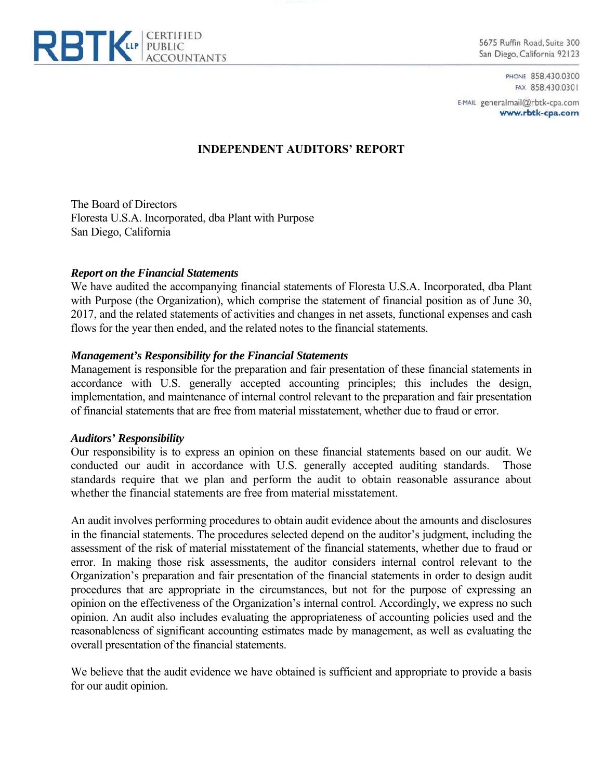

5675 Ruffin Road, Suite 300 San Diego, California 92123

> PHONE 858.430.0300 FAX 858.430.0301

E-MAIL generalmail@rbtk-cpa.com www.rbtk-cpa.com

## **INDEPENDENT AUDITORS' REPORT**

The Board of Directors Floresta U.S.A. Incorporated, dba Plant with Purpose San Diego, California

#### *Report on the Financial Statements*

We have audited the accompanying financial statements of Floresta U.S.A. Incorporated, dba Plant with Purpose (the Organization), which comprise the statement of financial position as of June 30, 2017, and the related statements of activities and changes in net assets, functional expenses and cash flows for the year then ended, and the related notes to the financial statements.

### *Management's Responsibility for the Financial Statements*

Management is responsible for the preparation and fair presentation of these financial statements in accordance with U.S. generally accepted accounting principles; this includes the design, implementation, and maintenance of internal control relevant to the preparation and fair presentation of financial statements that are free from material misstatement, whether due to fraud or error.

#### *Auditors' Responsibility*

Our responsibility is to express an opinion on these financial statements based on our audit. We conducted our audit in accordance with U.S. generally accepted auditing standards. Those standards require that we plan and perform the audit to obtain reasonable assurance about whether the financial statements are free from material misstatement.

An audit involves performing procedures to obtain audit evidence about the amounts and disclosures in the financial statements. The procedures selected depend on the auditor's judgment, including the assessment of the risk of material misstatement of the financial statements, whether due to fraud or error. In making those risk assessments, the auditor considers internal control relevant to the Organization's preparation and fair presentation of the financial statements in order to design audit procedures that are appropriate in the circumstances, but not for the purpose of expressing an opinion on the effectiveness of the Organization's internal control. Accordingly, we express no such opinion. An audit also includes evaluating the appropriateness of accounting policies used and the reasonableness of significant accounting estimates made by management, as well as evaluating the overall presentation of the financial statements.

We believe that the audit evidence we have obtained is sufficient and appropriate to provide a basis for our audit opinion.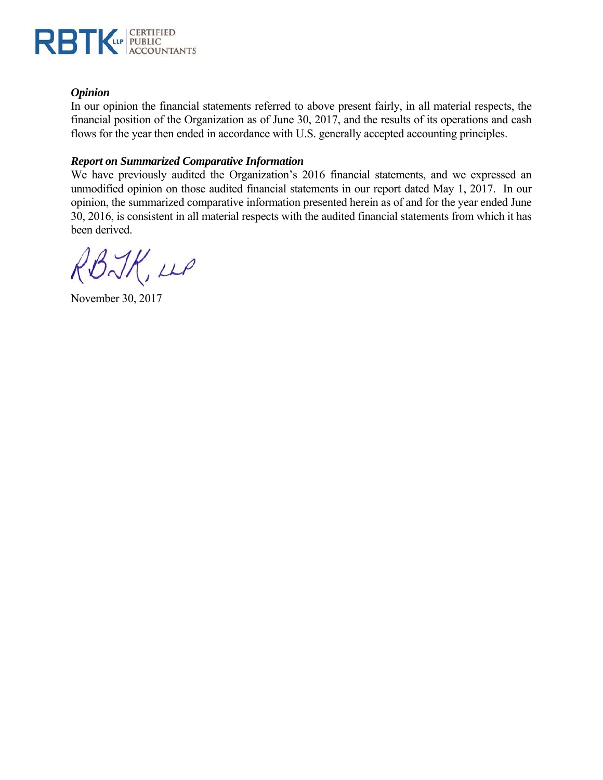

## *Opinion*

In our opinion the financial statements referred to above present fairly, in all material respects, the financial position of the Organization as of June 30, 2017, and the results of its operations and cash flows for the year then ended in accordance with U.S. generally accepted accounting principles.

## *Report on Summarized Comparative Information*

We have previously audited the Organization's 2016 financial statements, and we expressed an unmodified opinion on those audited financial statements in our report dated May 1, 2017. In our opinion, the summarized comparative information presented herein as of and for the year ended June 30, 2016, is consistent in all material respects with the audited financial statements from which it has been derived.

RBJK, up

November 30, 2017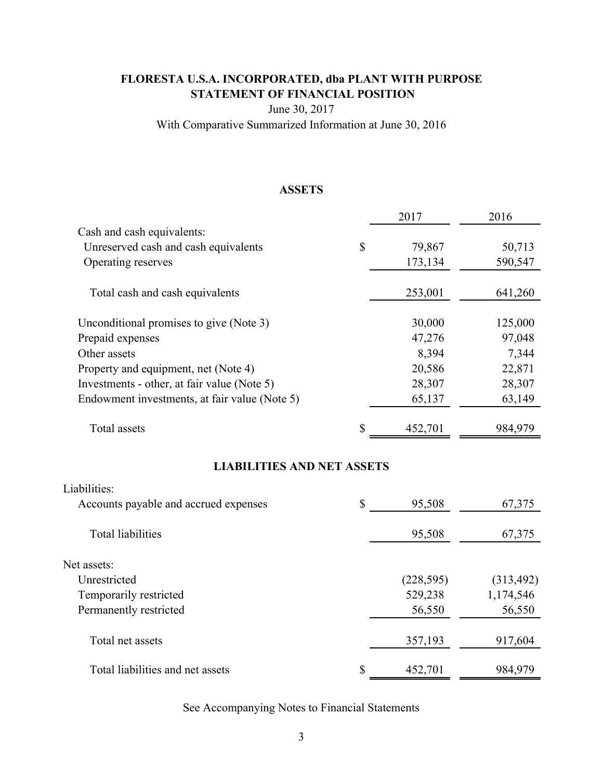## **FLORESTA U.S.A. INCORPORATED, dba PLANT WITH PURPOSE STATEMENT OF FINANCIAL POSITION**

June 30, 2017

With Comparative Summarized Information at June 30, 2016

## **ASSETS**

|                                               | 2017          | 2016    |
|-----------------------------------------------|---------------|---------|
| Cash and cash equivalents:                    |               |         |
| Unreserved cash and cash equivalents          | \$<br>79,867  | 50,713  |
| Operating reserves                            | 173,134       | 590,547 |
| Total cash and cash equivalents               | 253,001       | 641,260 |
| Unconditional promises to give (Note 3)       | 30,000        | 125,000 |
| Prepaid expenses                              | 47,276        | 97,048  |
| Other assets                                  | 8,394         | 7,344   |
| Property and equipment, net (Note 4)          | 20,586        | 22,871  |
| Investments - other, at fair value (Note 5)   | 28,307        | 28,307  |
| Endowment investments, at fair value (Note 5) | 65,137        | 63,149  |
| Total assets                                  | \$<br>452,701 | 984,979 |

## **LIABILITIES AND NET ASSETS**

| Liabilities:                          |               |            |
|---------------------------------------|---------------|------------|
| Accounts payable and accrued expenses | \$<br>95,508  | 67,375     |
| <b>Total liabilities</b>              | 95,508        | 67,375     |
| Net assets:                           |               |            |
| Unrestricted                          | (228, 595)    | (313, 492) |
| Temporarily restricted                | 529,238       | 1,174,546  |
| Permanently restricted                | 56,550        | 56,550     |
| Total net assets                      | 357,193       | 917,604    |
| Total liabilities and net assets      | \$<br>452,701 | 984,979    |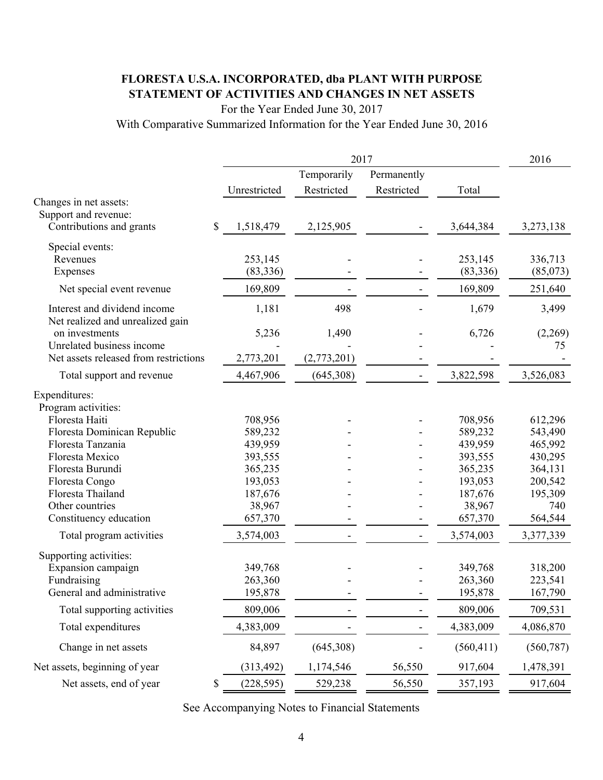# **FLORESTA U.S.A. INCORPORATED, dba PLANT WITH PURPOSE STATEMENT OF ACTIVITIES AND CHANGES IN NET ASSETS**

For the Year Ended June 30, 2017

With Comparative Summarized Information for the Year Ended June 30, 2016

|                                       |               |              | 2016        |                          |            |            |
|---------------------------------------|---------------|--------------|-------------|--------------------------|------------|------------|
|                                       |               |              | Temporarily | Permanently              |            |            |
|                                       |               | Unrestricted | Restricted  | Restricted               | Total      |            |
| Changes in net assets:                |               |              |             |                          |            |            |
| Support and revenue:                  |               |              |             |                          |            |            |
| Contributions and grants              | $\mathcal{S}$ | 1,518,479    | 2,125,905   |                          | 3,644,384  | 3,273,138  |
| Special events:                       |               |              |             |                          |            |            |
| Revenues                              |               | 253,145      |             |                          | 253,145    | 336,713    |
| Expenses                              |               | (83, 336)    |             |                          | (83, 336)  | (85,073)   |
| Net special event revenue             |               | 169,809      |             |                          | 169,809    | 251,640    |
| Interest and dividend income          |               | 1,181        | 498         |                          | 1,679      | 3,499      |
| Net realized and unrealized gain      |               |              |             |                          |            |            |
| on investments                        |               | 5,236        | 1,490       |                          | 6,726      | (2,269)    |
| Unrelated business income             |               |              |             |                          |            | 75         |
| Net assets released from restrictions |               | 2,773,201    | (2,773,201) |                          |            |            |
| Total support and revenue             |               | 4,467,906    | (645,308)   |                          | 3,822,598  | 3,526,083  |
| Expenditures:                         |               |              |             |                          |            |            |
| Program activities:                   |               |              |             |                          |            |            |
| Floresta Haiti                        |               | 708,956      |             |                          | 708,956    | 612,296    |
| Floresta Dominican Republic           |               | 589,232      |             |                          | 589,232    | 543,490    |
| Floresta Tanzania                     |               | 439,959      |             |                          | 439,959    | 465,992    |
| Floresta Mexico                       |               | 393,555      |             |                          | 393,555    | 430,295    |
| Floresta Burundi                      |               | 365,235      |             |                          | 365,235    | 364,131    |
| Floresta Congo                        |               | 193,053      |             |                          | 193,053    | 200,542    |
| Floresta Thailand                     |               | 187,676      |             |                          | 187,676    | 195,309    |
| Other countries                       |               | 38,967       |             |                          | 38,967     | 740        |
| Constituency education                |               | 657,370      |             |                          | 657,370    | 564,544    |
| Total program activities              |               | 3,574,003    |             | $\overline{\phantom{a}}$ | 3,574,003  | 3,377,339  |
| Supporting activities:                |               |              |             |                          |            |            |
| Expansion campaign                    |               | 349,768      |             |                          | 349,768    | 318,200    |
| Fundraising                           |               | 263,360      |             |                          | 263,360    | 223,541    |
| General and administrative            |               | 195,878      |             |                          | 195,878    | 167,790    |
| Total supporting activities           |               | 809,006      |             |                          | 809,006    | 709,531    |
| Total expenditures                    |               | 4,383,009    |             |                          | 4,383,009  | 4,086,870  |
| Change in net assets                  |               | 84,897       | (645,308)   |                          | (560, 411) | (560, 787) |
| Net assets, beginning of year         |               | (313, 492)   | 1,174,546   | 56,550                   | 917,604    | 1,478,391  |
| Net assets, end of year               | \$            | (228, 595)   | 529,238     | 56,550                   | 357,193    | 917,604    |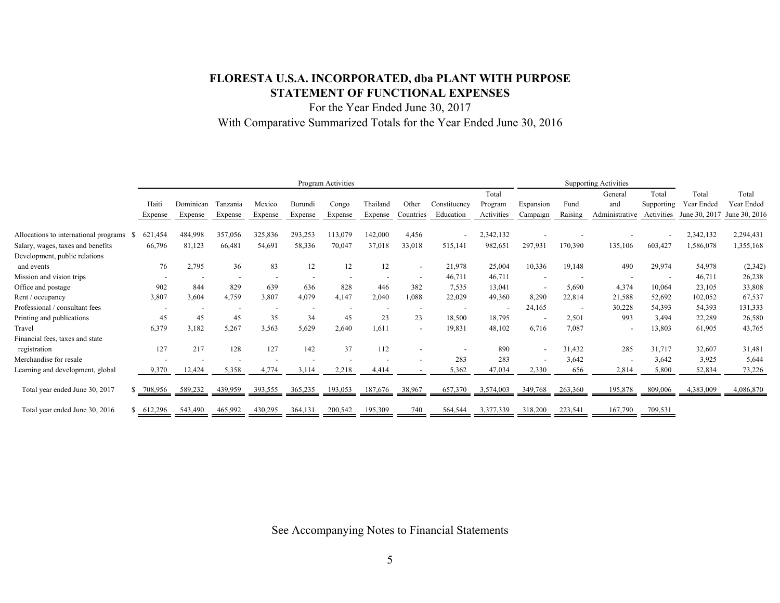## **FLORESTA U.S.A. INCORPORATED, dba PLANT WITH PURPOSE STATEMENT OF FUNCTIONAL EXPENSES**

For the Year Ended June 30, 2017 With Comparative Summarized Totals for the Year Ended June 30, 2016

|                                       | Program Activities |                          |                          |                          |         | <b>Supporting Activities</b> |          |                          |              |            |                          |         |                          |            |               |               |
|---------------------------------------|--------------------|--------------------------|--------------------------|--------------------------|---------|------------------------------|----------|--------------------------|--------------|------------|--------------------------|---------|--------------------------|------------|---------------|---------------|
|                                       |                    |                          |                          |                          |         |                              |          |                          |              | Total      |                          |         | General                  | Total      | Total         | Total         |
|                                       | Haiti              | Dominican                | Tanzania                 | Mexico                   | Burundi | Congo                        | Thailand | Other                    | Constituency | Program    | Expansion                | Fund    | and                      | Supporting | Year Ended    | Year Ended    |
|                                       | Expense            | Expense                  | Expense                  | Expense                  | Expense | Expense                      | Expense  | Countries                | Education    | Activities | Campaign                 | Raising | Administrative           | Activities | June 30, 2017 | June 30, 2016 |
| Allocations to international programs | 621,454<br>- S     | 484,998                  | 357,056                  | 325,836                  | 293,253 | 113,079                      | 142,000  | 4,456                    |              | 2,342,132  |                          |         |                          |            | 2,342,132     | 2,294,431     |
| Salary, wages, taxes and benefits     | 66,796             | 81,123                   | 66,481                   | 54,691                   | 58,336  | 70,047                       | 37,018   | 33,018                   | 515,141      | 982,651    | 297,931                  | 170,390 | 135,106                  | 603,427    | 1,586,078     | 1,355,168     |
| Development, public relations         |                    |                          |                          |                          |         |                              |          |                          |              |            |                          |         |                          |            |               |               |
| and events                            | 76                 | 2,795                    | 36                       | 83                       | 12      | 12                           | 12       | $\overline{\phantom{a}}$ | 21,978       | 25,004     | 10,336                   | 19,148  | 490                      | 29,974     | 54,978        | (2, 342)      |
| Mission and vision trips              |                    | $\overline{\phantom{a}}$ | $\overline{\phantom{a}}$ | $\overline{\phantom{a}}$ |         |                              |          | $\overline{\phantom{a}}$ | 46,711       | 46,711     | $\overline{\phantom{a}}$ |         |                          |            | 46,711        | 26,238        |
| Office and postage                    | 902                | 844                      | 829                      | 639                      | 636     | 828                          | 446      | 382                      | 7,535        | 13,041     | $\overline{\phantom{a}}$ | 5,690   | 4,374                    | 10,064     | 23,105        | 33,808        |
| Rent / occupancy                      | 3,807              | 3,604                    | 4,759                    | 3,807                    | 4,079   | 4,147                        | 2,040    | 1,088                    | 22,029       | 49,360     | 8,290                    | 22,814  | 21,588                   | 52,692     | 102,052       | 67,537        |
| Professional / consultant fees        |                    | $\overline{\phantom{a}}$ |                          |                          |         |                              |          |                          |              |            | 24,165                   |         | 30,228                   | 54,393     | 54,393        | 131,333       |
| Printing and publications             | 45                 | 45                       | 45                       | 35                       | 34      | 45                           | 23       | 23                       | 18,500       | 18,795     | $\overline{\phantom{a}}$ | 2,501   | 993                      | 3,494      | 22,289        | 26,580        |
| Travel                                | 6,379              | 3,182                    | 5,267                    | 3,563                    | 5,629   | 2,640                        | 1,611    | $\sim$                   | 19,831       | 48,102     | 6,716                    | 7,087   | $\overline{\phantom{a}}$ | 13,803     | 61,905        | 43,765        |
| Financial fees, taxes and state       |                    |                          |                          |                          |         |                              |          |                          |              |            |                          |         |                          |            |               |               |
| registration                          | 127                | 217                      | 128                      | 127                      | 142     | 37                           | 112      |                          |              | 890        | $\overline{\phantom{a}}$ | 31,432  | 285                      | 31,717     | 32,607        | 31,481        |
| Merchandise for resale                |                    |                          |                          |                          |         |                              |          |                          | 283          | 283        | $\overline{\phantom{a}}$ | 3,642   | $\overline{\phantom{a}}$ | 3,642      | 3,925         | 5,644         |
| Learning and development, global      | 9,370              | 12,424                   | 5,358                    | 4,774                    | 3,114   | 2,218                        | 4,414    |                          | 5,362        | 47,034     | 2,330                    | 656     | 2,814                    | 5,800      | 52,834        | 73,226        |
| Total year ended June 30, 2017        | 708,956            | 589,232                  | 439,959                  | 393,555                  | 365,235 | 193,053                      | 187,676  | 38,967                   | 657,370      | 3,574,003  | 349.                     | 263,360 | 195,878                  | 809,006    | 4,383,009     | 4,086,870     |
| Total year ended June 30, 2016        | 612,296            | 543,490                  | 465,992                  | 430,295                  | 364,131 | 200,542                      | 195,309  | 740                      | 564,544      | 3,377,339  | 318,200                  | 223,541 | 167,790                  | 709,531    |               |               |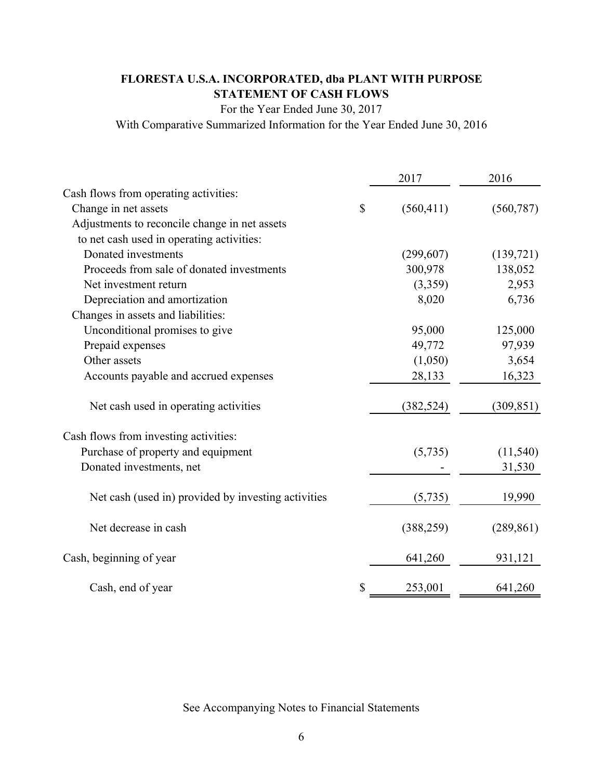# **FLORESTA U.S.A. INCORPORATED, dba PLANT WITH PURPOSE STATEMENT OF CASH FLOWS**

For the Year Ended June 30, 2017

With Comparative Summarized Information for the Year Ended June 30, 2016

|                                                     | 2017             | 2016       |
|-----------------------------------------------------|------------------|------------|
| Cash flows from operating activities:               |                  |            |
| Change in net assets                                | \$<br>(560, 411) | (560, 787) |
| Adjustments to reconcile change in net assets       |                  |            |
| to net cash used in operating activities:           |                  |            |
| Donated investments                                 | (299, 607)       | (139, 721) |
| Proceeds from sale of donated investments           | 300,978          | 138,052    |
| Net investment return                               | (3,359)          | 2,953      |
| Depreciation and amortization                       | 8,020            | 6,736      |
| Changes in assets and liabilities:                  |                  |            |
| Unconditional promises to give                      | 95,000           | 125,000    |
| Prepaid expenses                                    | 49,772           | 97,939     |
| Other assets                                        | (1,050)          | 3,654      |
| Accounts payable and accrued expenses               | 28,133           | 16,323     |
| Net cash used in operating activities               | (382, 524)       | (309, 851) |
| Cash flows from investing activities:               |                  |            |
| Purchase of property and equipment                  | (5,735)          | (11, 540)  |
| Donated investments, net                            |                  | 31,530     |
| Net cash (used in) provided by investing activities | (5,735)          | 19,990     |
| Net decrease in cash                                | (388, 259)       | (289, 861) |
| Cash, beginning of year                             | 641,260          | 931,121    |
| Cash, end of year                                   | \$<br>253,001    | 641,260    |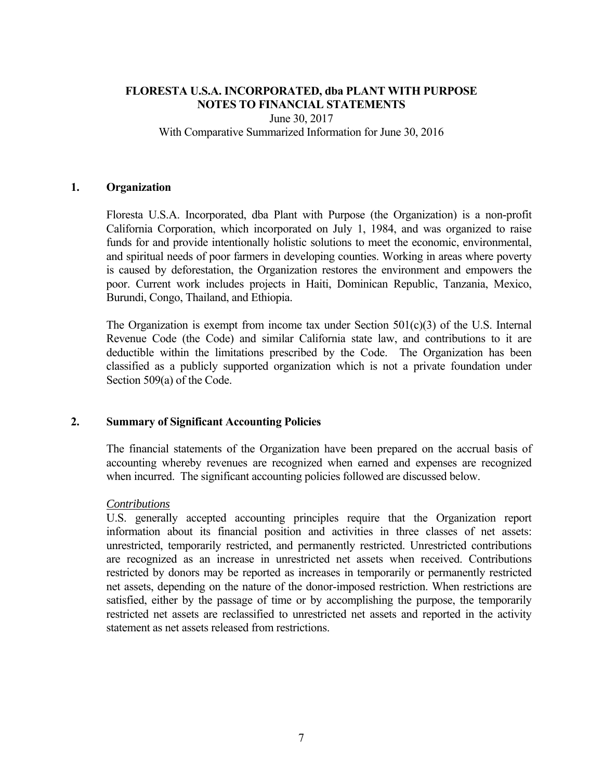## June 30, 2017 With Comparative Summarized Information for June 30, 2016

## **1. Organization**

Floresta U.S.A. Incorporated, dba Plant with Purpose (the Organization) is a non-profit California Corporation, which incorporated on July 1, 1984, and was organized to raise funds for and provide intentionally holistic solutions to meet the economic, environmental, and spiritual needs of poor farmers in developing counties. Working in areas where poverty is caused by deforestation, the Organization restores the environment and empowers the poor. Current work includes projects in Haiti, Dominican Republic, Tanzania, Mexico, Burundi, Congo, Thailand, and Ethiopia.

The Organization is exempt from income tax under Section  $501(c)(3)$  of the U.S. Internal Revenue Code (the Code) and similar California state law, and contributions to it are deductible within the limitations prescribed by the Code. The Organization has been classified as a publicly supported organization which is not a private foundation under Section 509(a) of the Code.

#### **2. Summary of Significant Accounting Policies**

The financial statements of the Organization have been prepared on the accrual basis of accounting whereby revenues are recognized when earned and expenses are recognized when incurred. The significant accounting policies followed are discussed below.

#### *Contributions*

 U.S. generally accepted accounting principles require that the Organization report information about its financial position and activities in three classes of net assets: unrestricted, temporarily restricted, and permanently restricted. Unrestricted contributions are recognized as an increase in unrestricted net assets when received. Contributions restricted by donors may be reported as increases in temporarily or permanently restricted net assets, depending on the nature of the donor-imposed restriction. When restrictions are satisfied, either by the passage of time or by accomplishing the purpose, the temporarily restricted net assets are reclassified to unrestricted net assets and reported in the activity statement as net assets released from restrictions.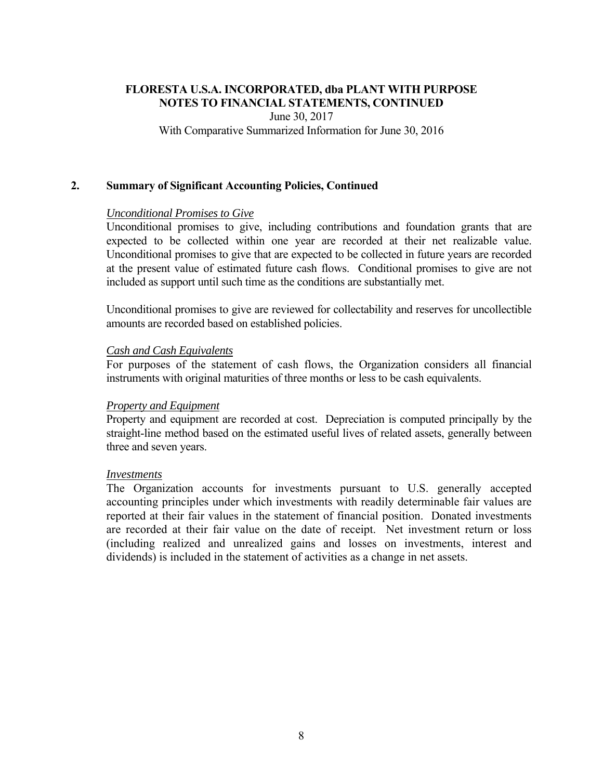June 30, 2017

With Comparative Summarized Information for June 30, 2016

### **2. Summary of Significant Accounting Policies, Continued**

#### *Unconditional Promises to Give*

 Unconditional promises to give, including contributions and foundation grants that are expected to be collected within one year are recorded at their net realizable value. Unconditional promises to give that are expected to be collected in future years are recorded at the present value of estimated future cash flows. Conditional promises to give are not included as support until such time as the conditions are substantially met.

 Unconditional promises to give are reviewed for collectability and reserves for uncollectible amounts are recorded based on established policies.

### *Cash and Cash Equivalents*

For purposes of the statement of cash flows, the Organization considers all financial instruments with original maturities of three months or less to be cash equivalents.

#### *Property and Equipment*

Property and equipment are recorded at cost. Depreciation is computed principally by the straight-line method based on the estimated useful lives of related assets, generally between three and seven years.

#### *Investments*

The Organization accounts for investments pursuant to U.S. generally accepted accounting principles under which investments with readily determinable fair values are reported at their fair values in the statement of financial position. Donated investments are recorded at their fair value on the date of receipt. Net investment return or loss (including realized and unrealized gains and losses on investments, interest and dividends) is included in the statement of activities as a change in net assets.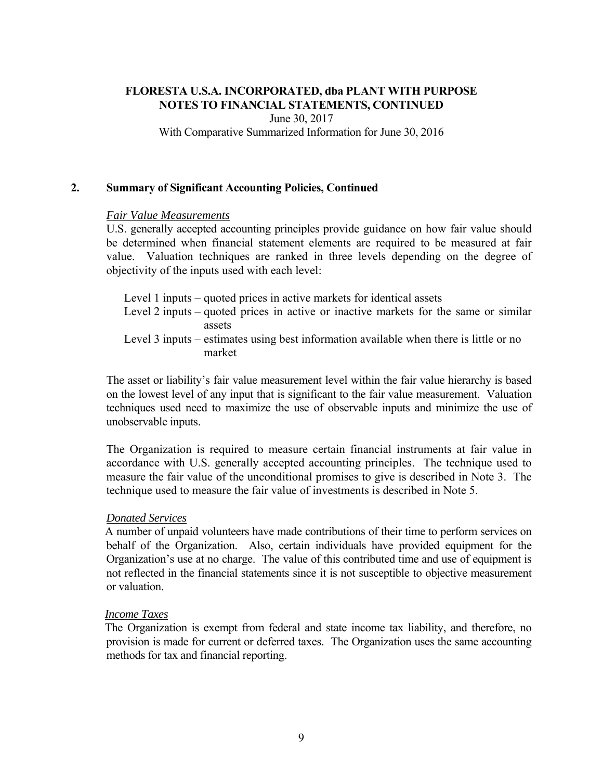June 30, 2017 With Comparative Summarized Information for June 30, 2016

## **2. Summary of Significant Accounting Policies, Continued**

### *Fair Value Measurements*

U.S. generally accepted accounting principles provide guidance on how fair value should be determined when financial statement elements are required to be measured at fair value. Valuation techniques are ranked in three levels depending on the degree of objectivity of the inputs used with each level:

Level 1 inputs – quoted prices in active markets for identical assets Level 2 inputs – quoted prices in active or inactive markets for the same or similar assets Level 3 inputs – estimates using best information available when there is little or no market

The asset or liability's fair value measurement level within the fair value hierarchy is based on the lowest level of any input that is significant to the fair value measurement. Valuation techniques used need to maximize the use of observable inputs and minimize the use of unobservable inputs.

The Organization is required to measure certain financial instruments at fair value in accordance with U.S. generally accepted accounting principles. The technique used to measure the fair value of the unconditional promises to give is described in Note 3. The technique used to measure the fair value of investments is described in Note 5.

## *Donated Services*

A number of unpaid volunteers have made contributions of their time to perform services on behalf of the Organization. Also, certain individuals have provided equipment for the Organization's use at no charge. The value of this contributed time and use of equipment is not reflected in the financial statements since it is not susceptible to objective measurement or valuation.

## *Income Taxes*

The Organization is exempt from federal and state income tax liability, and therefore, no provision is made for current or deferred taxes. The Organization uses the same accounting methods for tax and financial reporting.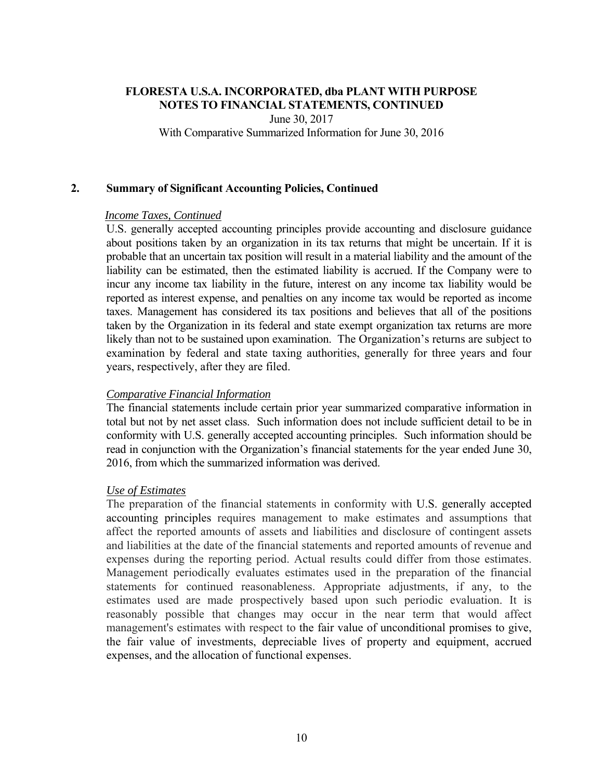June 30, 2017

With Comparative Summarized Information for June 30, 2016

## **2. Summary of Significant Accounting Policies, Continued**

## *Income Taxes, Continued*

U.S. generally accepted accounting principles provide accounting and disclosure guidance about positions taken by an organization in its tax returns that might be uncertain. If it is probable that an uncertain tax position will result in a material liability and the amount of the liability can be estimated, then the estimated liability is accrued. If the Company were to incur any income tax liability in the future, interest on any income tax liability would be reported as interest expense, and penalties on any income tax would be reported as income taxes. Management has considered its tax positions and believes that all of the positions taken by the Organization in its federal and state exempt organization tax returns are more likely than not to be sustained upon examination. The Organization's returns are subject to examination by federal and state taxing authorities, generally for three years and four years, respectively, after they are filed.

## *Comparative Financial Information*

The financial statements include certain prior year summarized comparative information in total but not by net asset class. Such information does not include sufficient detail to be in conformity with U.S. generally accepted accounting principles. Such information should be read in conjunction with the Organization's financial statements for the year ended June 30, 2016, from which the summarized information was derived.

## *Use of Estimates*

The preparation of the financial statements in conformity with U.S. generally accepted accounting principles requires management to make estimates and assumptions that affect the reported amounts of assets and liabilities and disclosure of contingent assets and liabilities at the date of the financial statements and reported amounts of revenue and expenses during the reporting period. Actual results could differ from those estimates. Management periodically evaluates estimates used in the preparation of the financial statements for continued reasonableness. Appropriate adjustments, if any, to the estimates used are made prospectively based upon such periodic evaluation. It is reasonably possible that changes may occur in the near term that would affect management's estimates with respect to the fair value of unconditional promises to give, the fair value of investments, depreciable lives of property and equipment, accrued expenses, and the allocation of functional expenses.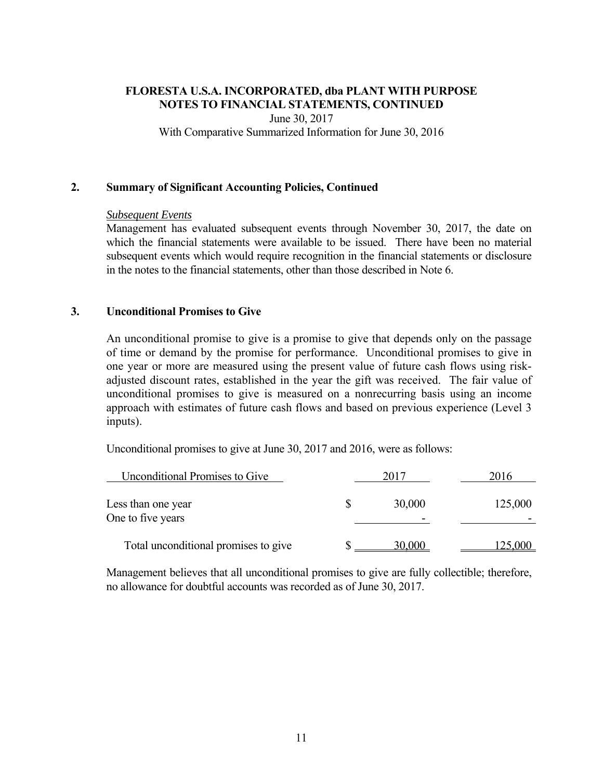June 30, 2017 With Comparative Summarized Information for June 30, 2016

## **2. Summary of Significant Accounting Policies, Continued**

#### *Subsequent Events*

Management has evaluated subsequent events through November 30, 2017, the date on which the financial statements were available to be issued. There have been no material subsequent events which would require recognition in the financial statements or disclosure in the notes to the financial statements, other than those described in Note 6.

### **3. Unconditional Promises to Give**

An unconditional promise to give is a promise to give that depends only on the passage of time or demand by the promise for performance. Unconditional promises to give in one year or more are measured using the present value of future cash flows using riskadjusted discount rates, established in the year the gift was received. The fair value of unconditional promises to give is measured on a nonrecurring basis using an income approach with estimates of future cash flows and based on previous experience (Level 3 inputs).

Unconditional promises to give at June 30, 2017 and 2016, were as follows:

| <b>Unconditional Promises to Give</b>   |        | 2016    |
|-----------------------------------------|--------|---------|
| Less than one year<br>One to five years | 30,000 | 125,000 |
| Total unconditional promises to give    | 30,000 | .25,000 |

Management believes that all unconditional promises to give are fully collectible; therefore, no allowance for doubtful accounts was recorded as of June 30, 2017.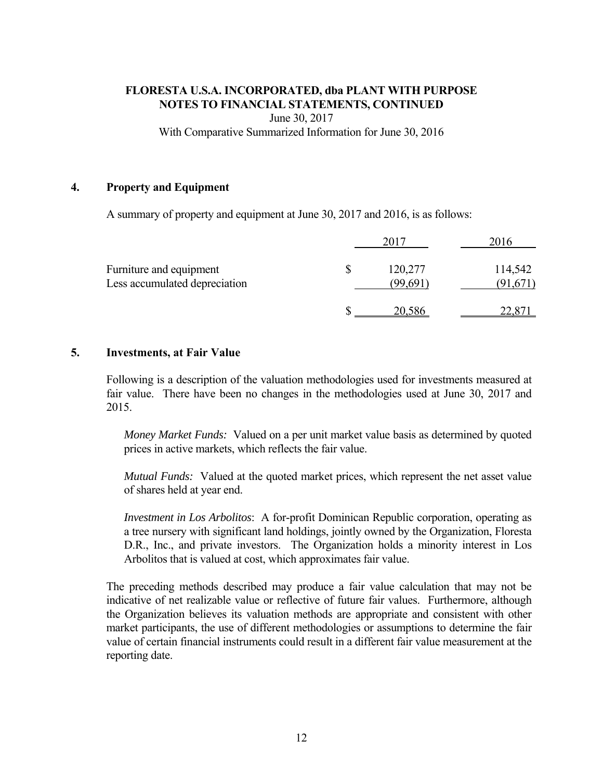June 30, 2017

With Comparative Summarized Information for June 30, 2016

## **4. Property and Equipment**

A summary of property and equipment at June 30, 2017 and 2016, is as follows:

|                                                          |                          | 2016               |
|----------------------------------------------------------|--------------------------|--------------------|
| Furniture and equipment<br>Less accumulated depreciation | \$<br>120,277<br>(99.69) | 114,542<br>91,671, |
|                                                          | 20.586                   |                    |

## **5. Investments, at Fair Value**

Following is a description of the valuation methodologies used for investments measured at fair value. There have been no changes in the methodologies used at June 30, 2017 and 2015.

*Money Market Funds:* Valued on a per unit market value basis as determined by quoted prices in active markets, which reflects the fair value.

*Mutual Funds:* Valued at the quoted market prices, which represent the net asset value of shares held at year end.

*Investment in Los Arbolitos*: A for-profit Dominican Republic corporation, operating as a tree nursery with significant land holdings, jointly owned by the Organization, Floresta D.R., Inc., and private investors. The Organization holds a minority interest in Los Arbolitos that is valued at cost, which approximates fair value.

The preceding methods described may produce a fair value calculation that may not be indicative of net realizable value or reflective of future fair values. Furthermore, although the Organization believes its valuation methods are appropriate and consistent with other market participants, the use of different methodologies or assumptions to determine the fair value of certain financial instruments could result in a different fair value measurement at the reporting date.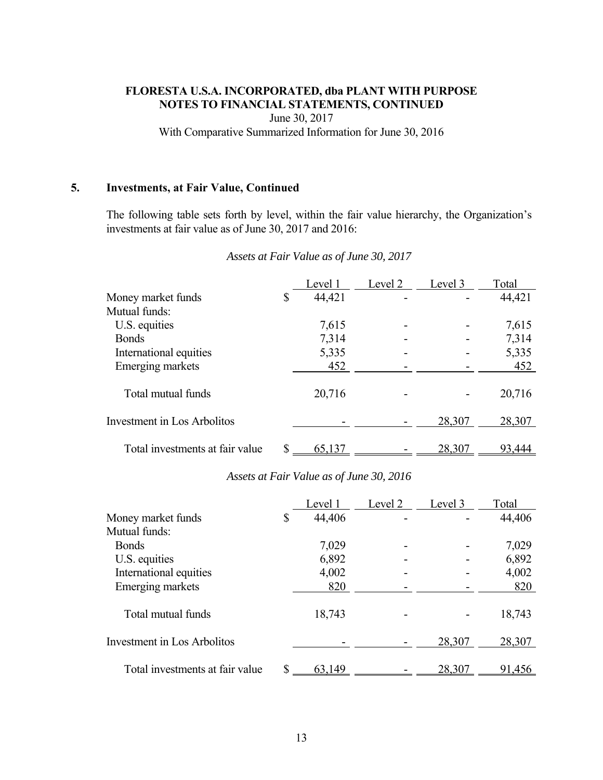June 30, 2017

With Comparative Summarized Information for June 30, 2016

## **5. Investments, at Fair Value, Continued**

The following table sets forth by level, within the fair value hierarchy, the Organization's investments at fair value as of June 30, 2017 and 2016:

|                                 | Level 1      | Level <sub>2</sub> | Level 3 | Total  |
|---------------------------------|--------------|--------------------|---------|--------|
| Money market funds              | \$<br>44,421 |                    |         | 44,421 |
| Mutual funds:                   |              |                    |         |        |
| U.S. equities                   | 7,615        |                    |         | 7,615  |
| <b>Bonds</b>                    | 7,314        |                    |         | 7,314  |
| International equities          | 5,335        |                    |         | 5,335  |
| Emerging markets                | 452          |                    |         | 452    |
| Total mutual funds              | 20,716       |                    |         | 20,716 |
| Investment in Los Arbolitos     |              |                    | 28,307  | 28,307 |
| Total investments at fair value | 65,137       |                    | 28,307  | 93,444 |

#### *Assets at Fair Value as of June 30, 2017*

#### *Assets at Fair Value as of June 30, 2016*

|                                 | Level 1      | Level 2 | Level 3 | Total  |
|---------------------------------|--------------|---------|---------|--------|
| Money market funds              | \$<br>44,406 |         |         | 44,406 |
| Mutual funds:                   |              |         |         |        |
| <b>Bonds</b>                    | 7,029        |         |         | 7,029  |
| U.S. equities                   | 6,892        |         |         | 6,892  |
| International equities          | 4,002        |         |         | 4,002  |
| Emerging markets                | 820          |         |         | 820    |
| Total mutual funds              | 18,743       |         |         | 18,743 |
| Investment in Los Arbolitos     |              |         | 28,307  | 28,307 |
| Total investments at fair value | 63,149       |         | 28,307  | 91,456 |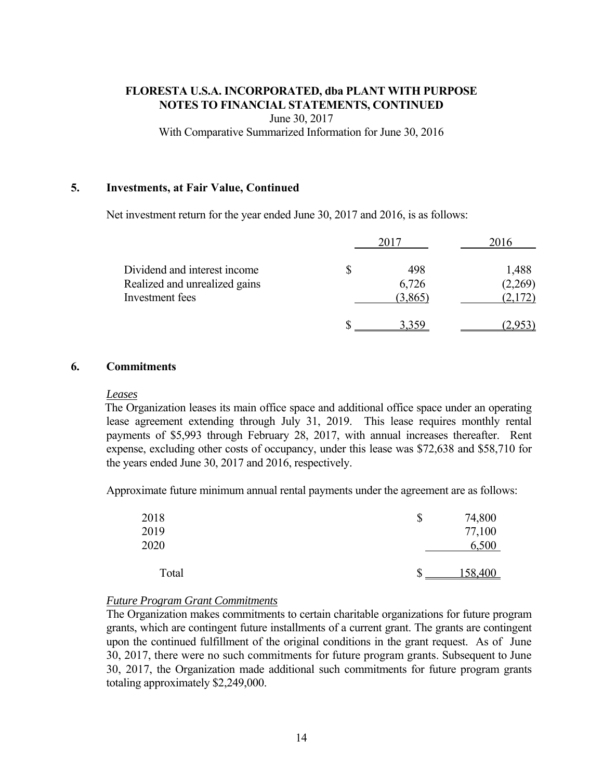June 30, 2017 With Comparative Summarized Information for June 30, 2016

## **5. Investments, at Fair Value, Continued**

Net investment return for the year ended June 30, 2017 and 2016, is as follows:

|                                                                                  | 2017                          | 2016                        |
|----------------------------------------------------------------------------------|-------------------------------|-----------------------------|
| Dividend and interest income<br>Realized and unrealized gains<br>Investment fees | \$<br>498<br>6,726<br>(3,865) | 1,488<br>(2,269)<br>(2,172) |
|                                                                                  |                               |                             |

### **6. Commitments**

#### *Leases*

The Organization leases its main office space and additional office space under an operating lease agreement extending through July 31, 2019. This lease requires monthly rental payments of \$5,993 through February 28, 2017, with annual increases thereafter. Rent expense, excluding other costs of occupancy, under this lease was \$72,638 and \$58,710 for the years ended June 30, 2017 and 2016, respectively.

Approximate future minimum annual rental payments under the agreement are as follows:

| 2018<br>2019<br>2020 | \$<br>74,800<br>77,100<br>6,500 |
|----------------------|---------------------------------|
| Total                | 158,400                         |

## *Future Program Grant Commitments*

The Organization makes commitments to certain charitable organizations for future program grants, which are contingent future installments of a current grant. The grants are contingent upon the continued fulfillment of the original conditions in the grant request. As of June 30, 2017, there were no such commitments for future program grants. Subsequent to June 30, 2017, the Organization made additional such commitments for future program grants totaling approximately \$2,249,000.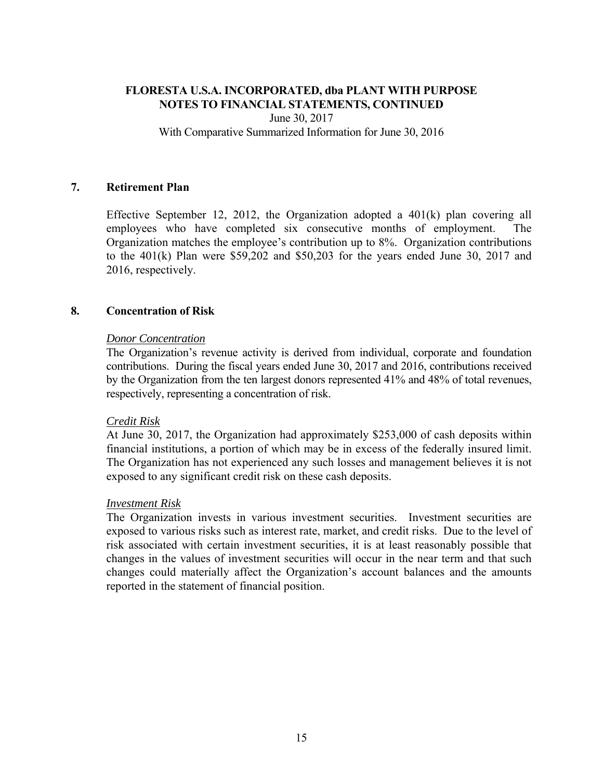June 30, 2017

With Comparative Summarized Information for June 30, 2016

### **7. Retirement Plan**

Effective September 12, 2012, the Organization adopted a  $401(k)$  plan covering all employees who have completed six consecutive months of employment. The Organization matches the employee's contribution up to 8%. Organization contributions to the 401(k) Plan were \$59,202 and \$50,203 for the years ended June 30, 2017 and 2016, respectively.

### **8. Concentration of Risk**

### *Donor Concentration*

The Organization's revenue activity is derived from individual, corporate and foundation contributions. During the fiscal years ended June 30, 2017 and 2016, contributions received by the Organization from the ten largest donors represented 41% and 48% of total revenues, respectively, representing a concentration of risk.

#### *Credit Risk*

 At June 30, 2017, the Organization had approximately \$253,000 of cash deposits within financial institutions, a portion of which may be in excess of the federally insured limit. The Organization has not experienced any such losses and management believes it is not exposed to any significant credit risk on these cash deposits.

#### *Investment Risk*

The Organization invests in various investment securities. Investment securities are exposed to various risks such as interest rate, market, and credit risks. Due to the level of risk associated with certain investment securities, it is at least reasonably possible that changes in the values of investment securities will occur in the near term and that such changes could materially affect the Organization's account balances and the amounts reported in the statement of financial position.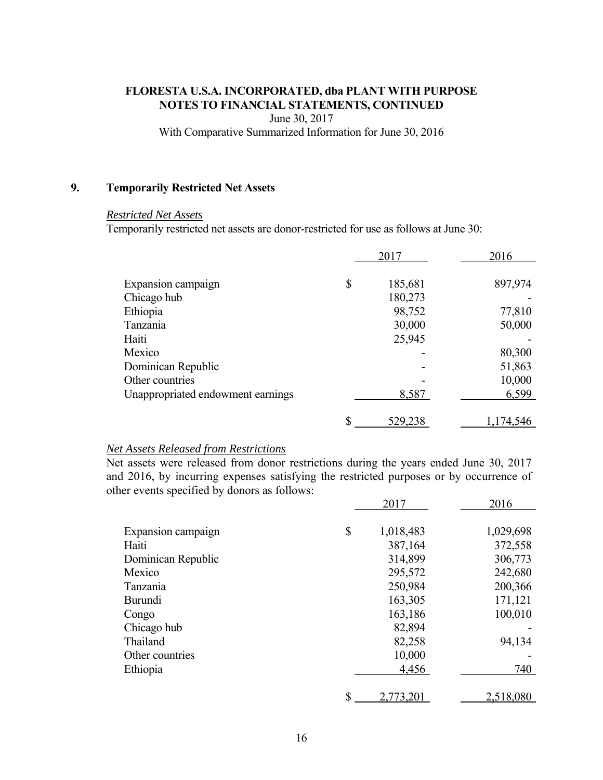June 30, 2017

With Comparative Summarized Information for June 30, 2016

### **9. Temporarily Restricted Net Assets**

#### *Restricted Net Assets*

Temporarily restricted net assets are donor-restricted for use as follows at June 30:

|                                   | 2017          | 2016    |
|-----------------------------------|---------------|---------|
| Expansion campaign                | \$<br>185,681 | 897,974 |
| Chicago hub                       | 180,273       |         |
| Ethiopia                          | 98,752        | 77,810  |
| Tanzania                          | 30,000        | 50,000  |
| Haiti                             | 25,945        |         |
| Mexico                            |               | 80,300  |
| Dominican Republic                |               | 51,863  |
| Other countries                   |               | 10,000  |
| Unappropriated endowment earnings | 8,587         | 6,599   |
|                                   | \$<br>529,238 | 174,546 |

#### *Net Assets Released from Restrictions*

Net assets were released from donor restrictions during the years ended June 30, 2017 and 2016, by incurring expenses satisfying the restricted purposes or by occurrence of other events specified by donors as follows:

|                    | 2017            | 2016      |
|--------------------|-----------------|-----------|
| Expansion campaign | \$<br>1,018,483 | 1,029,698 |
| Haiti              | 387,164         | 372,558   |
| Dominican Republic | 314,899         | 306,773   |
| Mexico             | 295,572         | 242,680   |
| Tanzania           | 250,984         | 200,366   |
| <b>Burundi</b>     | 163,305         | 171,121   |
| Congo              | 163,186         | 100,010   |
| Chicago hub        | 82,894          |           |
| Thailand           | 82,258          | 94,134    |
| Other countries    | 10,000          |           |
| Ethiopia           | 4,456           | 740       |
|                    | \$<br>2,773,201 | 2,518,080 |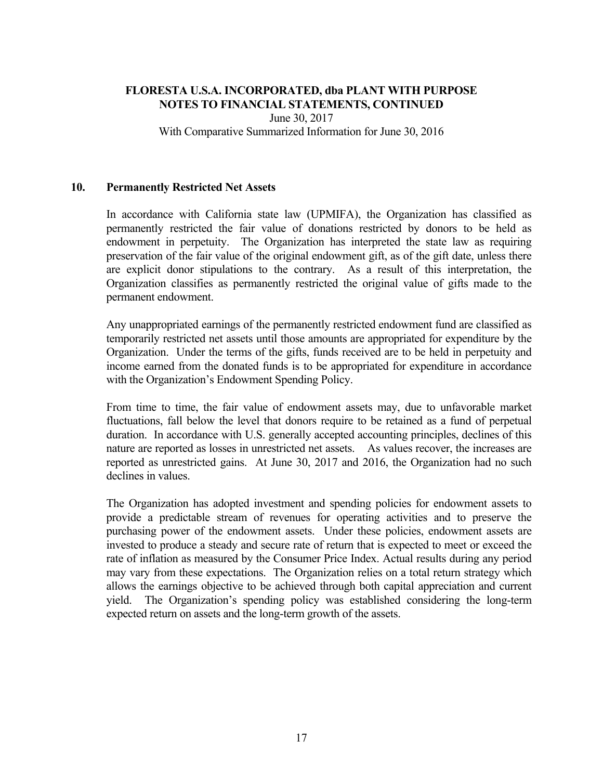June 30, 2017 With Comparative Summarized Information for June 30, 2016

## **10. Permanently Restricted Net Assets**

In accordance with California state law (UPMIFA), the Organization has classified as permanently restricted the fair value of donations restricted by donors to be held as endowment in perpetuity. The Organization has interpreted the state law as requiring preservation of the fair value of the original endowment gift, as of the gift date, unless there are explicit donor stipulations to the contrary. As a result of this interpretation, the Organization classifies as permanently restricted the original value of gifts made to the permanent endowment.

Any unappropriated earnings of the permanently restricted endowment fund are classified as temporarily restricted net assets until those amounts are appropriated for expenditure by the Organization. Under the terms of the gifts, funds received are to be held in perpetuity and income earned from the donated funds is to be appropriated for expenditure in accordance with the Organization's Endowment Spending Policy.

From time to time, the fair value of endowment assets may, due to unfavorable market fluctuations, fall below the level that donors require to be retained as a fund of perpetual duration. In accordance with U.S. generally accepted accounting principles, declines of this nature are reported as losses in unrestricted net assets. As values recover, the increases are reported as unrestricted gains. At June 30, 2017 and 2016, the Organization had no such declines in values.

The Organization has adopted investment and spending policies for endowment assets to provide a predictable stream of revenues for operating activities and to preserve the purchasing power of the endowment assets. Under these policies, endowment assets are invested to produce a steady and secure rate of return that is expected to meet or exceed the rate of inflation as measured by the Consumer Price Index. Actual results during any period may vary from these expectations. The Organization relies on a total return strategy which allows the earnings objective to be achieved through both capital appreciation and current yield. The Organization's spending policy was established considering the long-term expected return on assets and the long-term growth of the assets.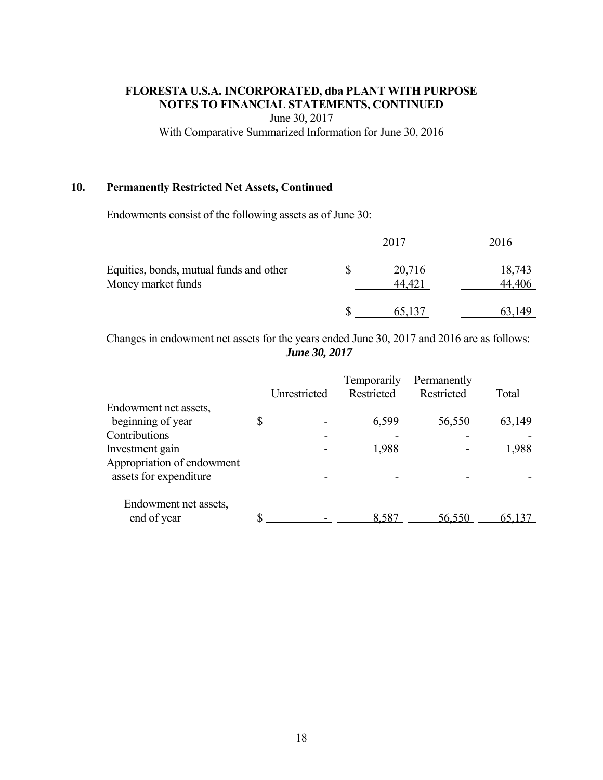June 30, 2017

With Comparative Summarized Information for June 30, 2016

## **10. Permanently Restricted Net Assets, Continued**

Endowments consist of the following assets as of June 30:

|                                                               |  |                  | .016             |
|---------------------------------------------------------------|--|------------------|------------------|
| Equities, bonds, mutual funds and other<br>Money market funds |  | 20,716<br>44,421 | 18,743<br>44,406 |
|                                                               |  |                  | 63 149           |

Changes in endowment net assets for the years ended June 30, 2017 and 2016 are as follows: *June 30, 2017* 

|                            |              | Temporarily | Permanently |        |
|----------------------------|--------------|-------------|-------------|--------|
|                            | Unrestricted | Restricted  | Restricted  | Total  |
| Endowment net assets,      |              |             |             |        |
| beginning of year          |              | 6,599       | 56,550      | 63,149 |
| Contributions              |              |             |             |        |
| Investment gain            |              | 1,988       |             | 1,988  |
| Appropriation of endowment |              |             |             |        |
| assets for expenditure     |              |             |             |        |
|                            |              |             |             |        |
| Endowment net assets,      |              |             |             |        |
| end of year                |              | 8,587       | 56,550      | 65,137 |